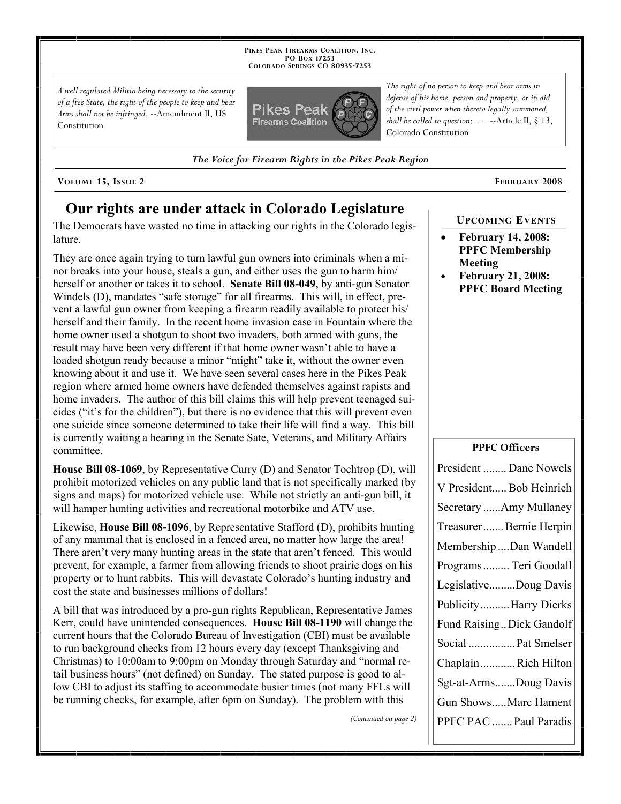**PIKES PEAK FIREARMS COALITION, INC. PO BOX 17253 COLORADO SPRINGS CO 80935 -7253**

*A well regulated Militia being necessary to the security of a free State, the right of the people to keep and bear Arms shall not be infringed.* --Amendment II, US Constitution



*The Voice for Firearm Rights in the Pikes Peak Region*

**VOLUME 15, ISSUE 2 FEBRUARY 2008**

# **Our rights are under attack in Colorado Legislature**

The Democrats have wasted no time in attacking our rights in the Colorado legislature.

They are once again trying to turn lawful gun owners into criminals when a minor breaks into your house, steals a gun, and either uses the gun to harm him/ herself or another or takes it to school. **Senate Bill 08-049**, by anti-gun Senator Windels (D), mandates "safe storage" for all firearms. This will, in effect, prevent a lawful gun owner from keeping a firearm readily available to protect his/ herself and their family. In the recent home invasion case in Fountain where the home owner used a shotgun to shoot two invaders, both armed with guns, the result may have been very different if that home owner wasn't able to have a loaded shotgun ready because a minor "might" take it, without the owner even knowing about it and use it. We have seen several cases here in the Pikes Peak region where armed home owners have defended themselves against rapists and home invaders. The author of this bill claims this will help prevent teenaged suicides ("it's for the children"), but there is no evidence that this will prevent even one suicide since someone determined to take their life will find a way. This bill is currently waiting a hearing in the Senate Sate, Veterans, and Military Affairs committee.

**House Bill 08-1069**, by Representative Curry (D) and Senator Tochtrop (D), will prohibit motorized vehicles on any public land that is not specifically marked (by signs and maps) for motorized vehicle use. While not strictly an anti-gun bill, it will hamper hunting activities and recreational motorbike and ATV use.

Likewise, **House Bill 08-1096**, by Representative Stafford (D), prohibits hunting of any mammal that is enclosed in a fenced area, no matter how large the area! There aren't very many hunting areas in the state that aren't fenced. This would prevent, for example, a farmer from allowing friends to shoot prairie dogs on his property or to hunt rabbits. This will devastate Colorado's hunting industry and cost the state and businesses millions of dollars!

A bill that was introduced by a pro-gun rights Republican, Representative James Kerr, could have unintended consequences. **House Bill 08-1190** will change the current hours that the Colorado Bureau of Investigation (CBI) must be available to run background checks from 12 hours every day (except Thanksgiving and Christmas) to 10:00am to 9:00pm on Monday through Saturday and "normal retail business hours" (not defined) on Sunday. The stated purpose is good to allow CBI to adjust its staffing to accommodate busier times (not many FFLs will be running checks, for example, after 6pm on Sunday). The problem with this

*(Continued on page 2)*

*The right of no person to keep and bear arms in defense of his home, person and property, or in aid of the civil power when thereto legally summoned, shall be called to question; . . .* --Article II, § 13, Colorado Constitution

**UPCOMING EVENTS**

- **February 14, 2008: PPFC Membership Meeting**
- **February 21, 2008: PPFC Board Meeting**

#### **PPFC Officers**

| President  Dane Nowels   |
|--------------------------|
| V President Bob Heinrich |
| Secretary Amy Mullaney   |
| Treasurer Bernie Herpin  |
| Membership Dan Wandell   |
| Programs  Teri Goodall   |
| LegislativeDoug Davis    |
| PublicityHarry Dierks    |
| Fund RaisingDick Gandolf |
| Social  Pat Smelser      |
| ChaplainRich Hilton      |
| Sgt-at-ArmsDoug Davis    |
| Gun ShowsMarc Hament     |
| PPFC PAC  Paul Paradis   |